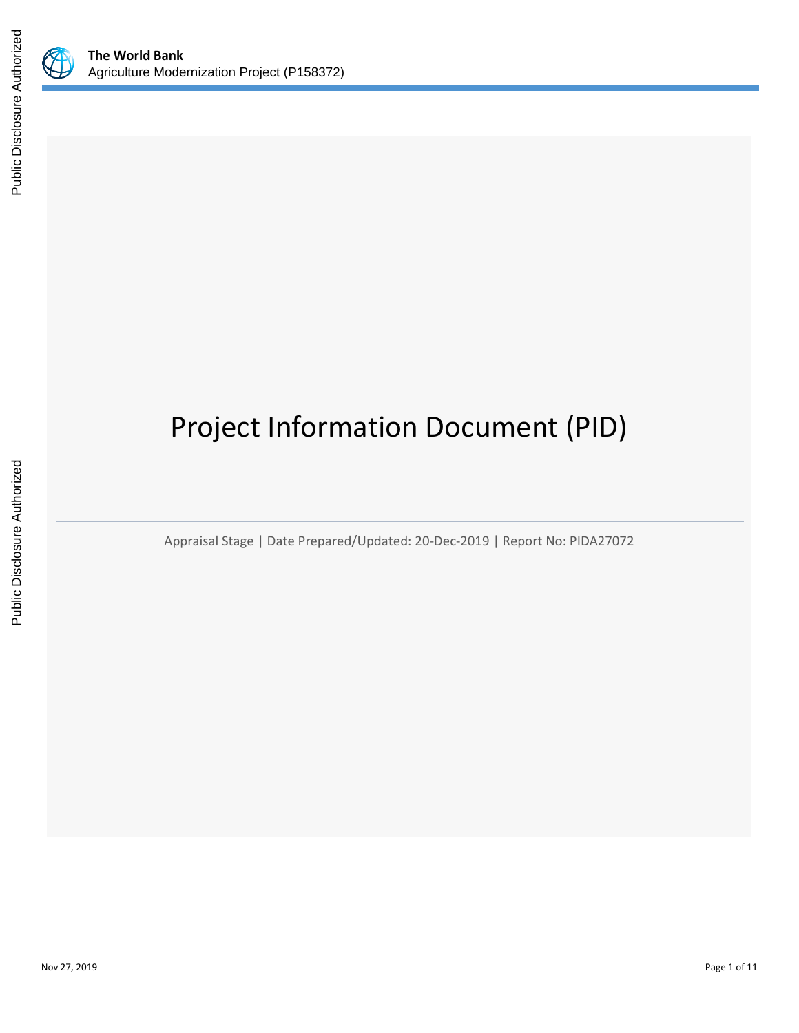

# Project Information Document (PID)

Appraisal Stage | Date Prepared/Updated: 20-Dec-2019 | Report No: PIDA27072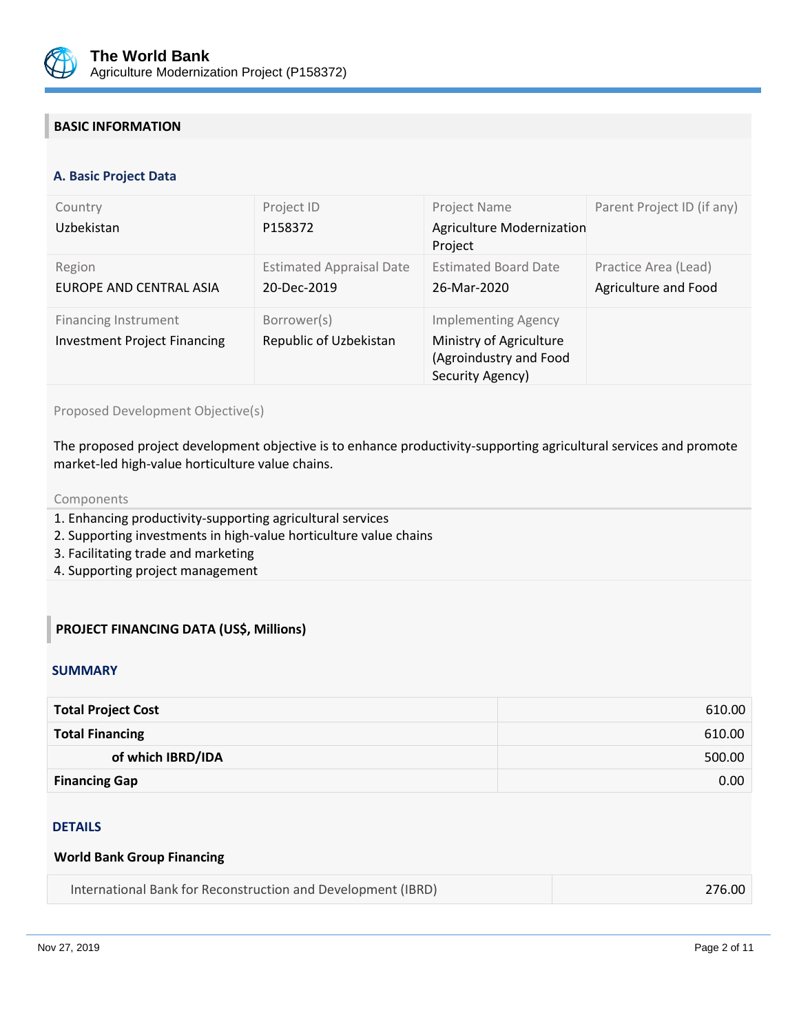

## **BASIC INFORMATION**

#### **OPS\_TABLE\_BASIC\_DATA A. Basic Project Data**

| Country<br>Uzbekistan                                              | Project ID<br>P158372                          | Project Name<br>Agriculture Modernization<br>Project                                                | Parent Project ID (if any)                   |
|--------------------------------------------------------------------|------------------------------------------------|-----------------------------------------------------------------------------------------------------|----------------------------------------------|
| Region<br><b>EUROPE AND CENTRAL ASIA</b>                           | <b>Estimated Appraisal Date</b><br>20-Dec-2019 | <b>Estimated Board Date</b><br>26-Mar-2020                                                          | Practice Area (Lead)<br>Agriculture and Food |
| <b>Financing Instrument</b><br><b>Investment Project Financing</b> | Borrower(s)<br>Republic of Uzbekistan          | <b>Implementing Agency</b><br>Ministry of Agriculture<br>(Agroindustry and Food<br>Security Agency) |                                              |

Proposed Development Objective(s)

The proposed project development objective is to enhance productivity-supporting agricultural services and promote market-led high-value horticulture value chains.

#### Components

- 1. Enhancing productivity-supporting agricultural services
- 2. Supporting investments in high-value horticulture value chains
- 3. Facilitating trade and marketing
- 4. Supporting project management

## **PROJECT FINANCING DATA (US\$, Millions)**

#### **SUMMARY**

| <b>Total Project Cost</b> | 610.00 |
|---------------------------|--------|
| <b>Total Financing</b>    | 610.00 |
| of which IBRD/IDA         | 500.00 |
| <b>Financing Gap</b>      | 0.00   |

#### DETAILS

## **World Bank Group Financing**

| International Bank for Reconstruction and Development (IBRD) | 276.00 |
|--------------------------------------------------------------|--------|
|--------------------------------------------------------------|--------|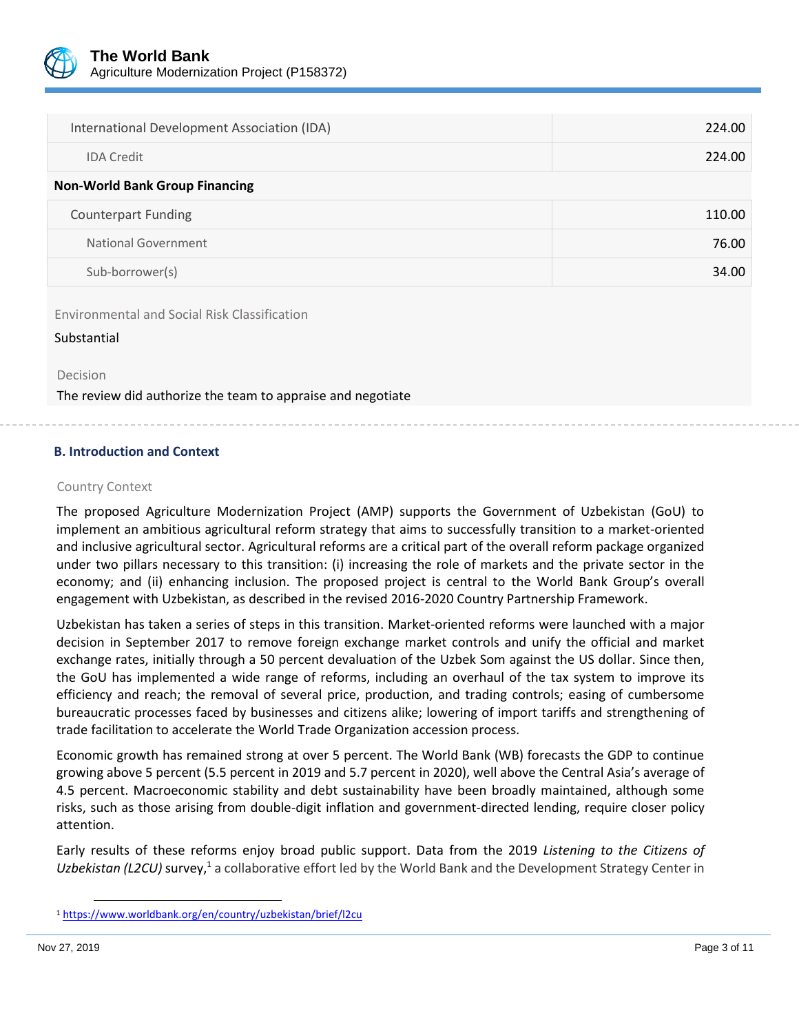

| International Development Association (IDA) | 224.00 |
|---------------------------------------------|--------|
| <b>IDA</b> Credit                           | 224.00 |
| <b>Non-World Bank Group Financing</b>       |        |
| <b>Counterpart Funding</b>                  | 110.00 |
| National Government                         | 76.00  |
| Sub-borrower(s)                             | 34.00  |

Environmental and Social Risk Classification

Substantial

Decision

The review did authorize the team to appraise and negotiate

## **B. Introduction and Context**

#### Country Context

The proposed Agriculture Modernization Project (AMP) supports the Government of Uzbekistan (GoU) to implement an ambitious agricultural reform strategy that aims to successfully transition to a market-oriented and inclusive agricultural sector. Agricultural reforms are a critical part of the overall reform package organized under two pillars necessary to this transition: (i) increasing the role of markets and the private sector in the economy; and (ii) enhancing inclusion. The proposed project is central to the World Bank Group's overall engagement with Uzbekistan, as described in the revised 2016-2020 Country Partnership Framework.

Uzbekistan has taken a series of steps in this transition. Market-oriented reforms were launched with a major decision in September 2017 to remove foreign exchange market controls and unify the official and market exchange rates, initially through a 50 percent devaluation of the Uzbek Som against the US dollar. Since then, the GoU has implemented a wide range of reforms, including an overhaul of the tax system to improve its efficiency and reach; the removal of several price, production, and trading controls; easing of cumbersome bureaucratic processes faced by businesses and citizens alike; lowering of import tariffs and strengthening of trade facilitation to accelerate the World Trade Organization accession process.

Economic growth has remained strong at over 5 percent. The World Bank (WB) forecasts the GDP to continue growing above 5 percent (5.5 percent in 2019 and 5.7 percent in 2020), well above the Central Asia's average of 4.5 percent. Macroeconomic stability and debt sustainability have been broadly maintained, although some risks, such as those arising from double-digit inflation and government-directed lending, require closer policy attention.

Early results of these reforms enjoy broad public support. Data from the 2019 *Listening to the Citizens of*  Uzbekistan (L2CU) survey,<sup>1</sup> a collaborative effort led by the World Bank and the Development Strategy Center in

l

<sup>1</sup> <https://www.worldbank.org/en/country/uzbekistan/brief/l2cu>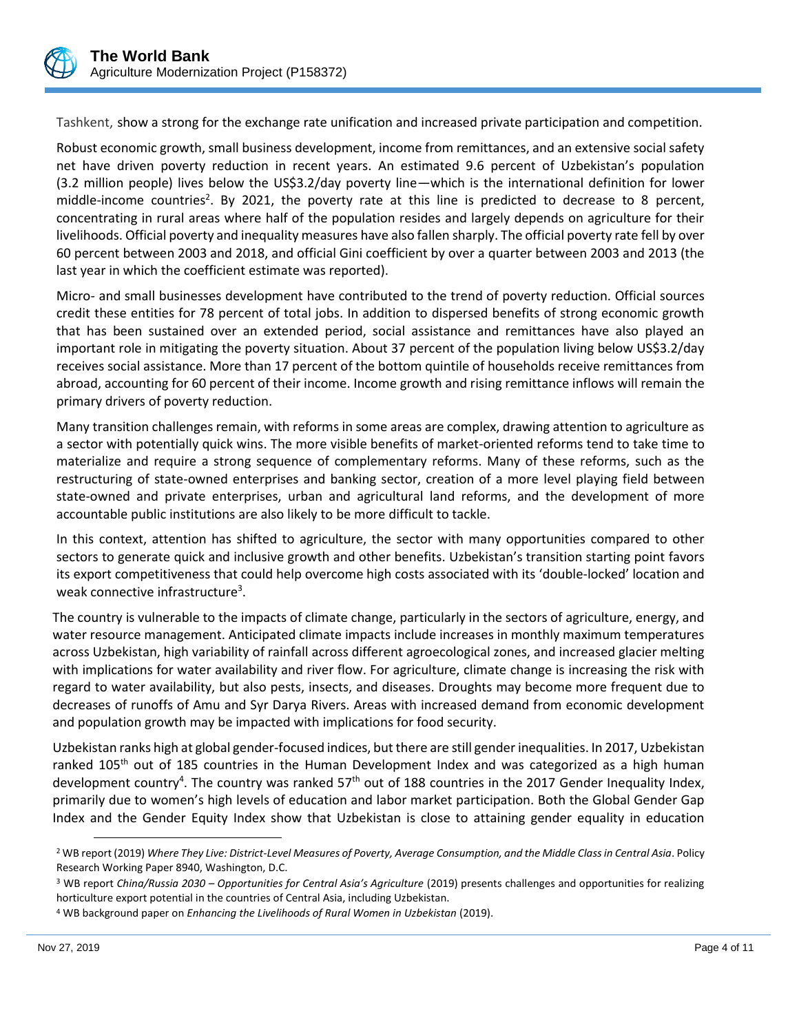

Tashkent, show a strong for the exchange rate unification and increased private participation and competition.

Robust economic growth, small business development, income from remittances, and an extensive social safety net have driven poverty reduction in recent years. An estimated 9.6 percent of Uzbekistan's population (3.2 million people) lives below the US\$3.2/day poverty line—which is the international definition for lower middle-income countries<sup>2</sup>. By 2021, the poverty rate at this line is predicted to decrease to 8 percent, concentrating in rural areas where half of the population resides and largely depends on agriculture for their livelihoods. Official poverty and inequality measures have also fallen sharply. The official poverty rate fell by over 60 percent between 2003 and 2018, and official Gini coefficient by over a quarter between 2003 and 2013 (the last year in which the coefficient estimate was reported).

Micro- and small businesses development have contributed to the trend of poverty reduction. Official sources credit these entities for 78 percent of total jobs. In addition to dispersed benefits of strong economic growth that has been sustained over an extended period, social assistance and remittances have also played an important role in mitigating the poverty situation. About 37 percent of the population living below US\$3.2/day receives social assistance. More than 17 percent of the bottom quintile of households receive remittances from abroad, accounting for 60 percent of their income. Income growth and rising remittance inflows will remain the primary drivers of poverty reduction.

Many transition challenges remain, with reforms in some areas are complex, drawing attention to agriculture as a sector with potentially quick wins. The more visible benefits of market-oriented reforms tend to take time to materialize and require a strong sequence of complementary reforms. Many of these reforms, such as the restructuring of state-owned enterprises and banking sector, creation of a more level playing field between state-owned and private enterprises, urban and agricultural land reforms, and the development of more accountable public institutions are also likely to be more difficult to tackle.

In this context, attention has shifted to agriculture, the sector with many opportunities compared to other sectors to generate quick and inclusive growth and other benefits. Uzbekistan's transition starting point favors its export competitiveness that could help overcome high costs associated with its 'double-locked' location and weak connective infrastructure<sup>3</sup>.

The country is vulnerable to the impacts of climate change, particularly in the sectors of agriculture, energy, and water resource management. Anticipated climate impacts include increases in monthly maximum temperatures across Uzbekistan, high variability of rainfall across different agroecological zones, and increased glacier melting with implications for water availability and river flow. For agriculture, climate change is increasing the risk with regard to water availability, but also pests, insects, and diseases. Droughts may become more frequent due to decreases of runoffs of Amu and Syr Darya Rivers. Areas with increased demand from economic development and population growth may be impacted with implications for food security.

Uzbekistan ranks high at global gender-focused indices, but there are still gender inequalities. In 2017, Uzbekistan ranked 105<sup>th</sup> out of 185 countries in the Human Development Index and was categorized as a high human development country<sup>4</sup>. The country was ranked 57<sup>th</sup> out of 188 countries in the 2017 Gender Inequality Index, primarily due to women's high levels of education and labor market participation. Both the Global Gender Gap Index and the Gender Equity Index show that Uzbekistan is close to attaining gender equality in education

l

<sup>2</sup> WB report (2019) *Where They Live: District-Level Measures of Poverty, Average Consumption, and the Middle Class in Central Asia*. Policy Research Working Paper 8940, Washington, D.C.

<sup>3</sup> WB report *China/Russia 2030 – Opportunities for Central Asia's Agriculture* (2019) presents challenges and opportunities for realizing horticulture export potential in the countries of Central Asia, including Uzbekistan.

<sup>4</sup> WB background paper on *Enhancing the Livelihoods of Rural Women in Uzbekistan* (2019).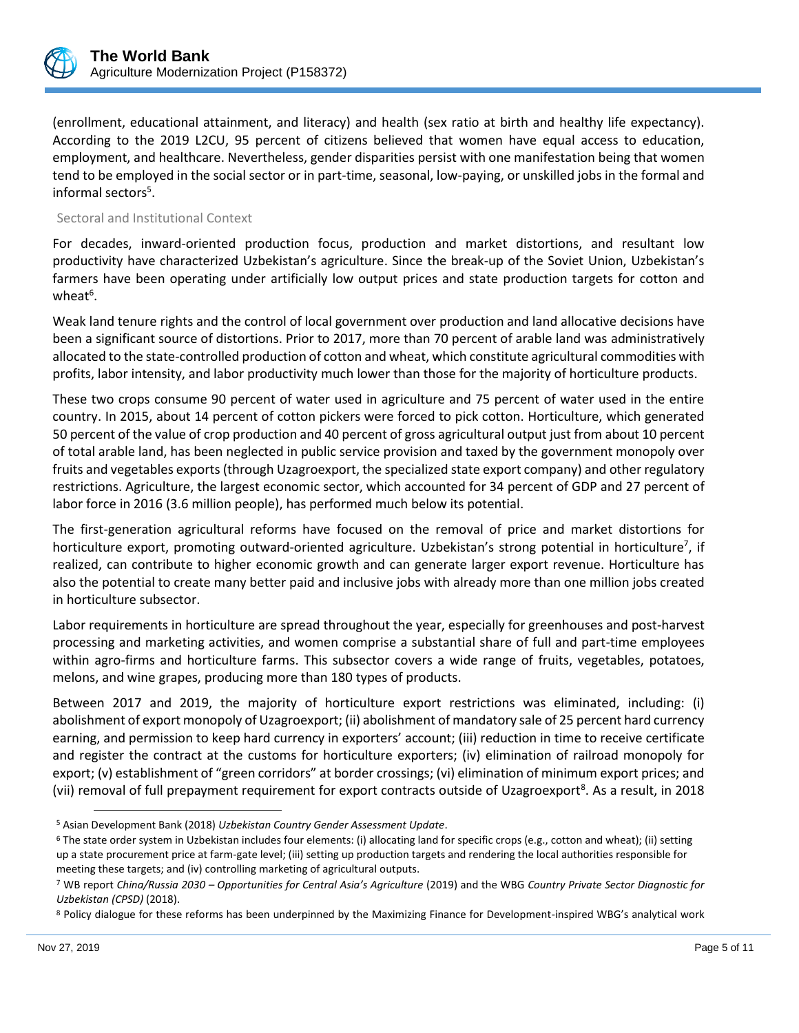

(enrollment, educational attainment, and literacy) and health (sex ratio at birth and healthy life expectancy). According to the 2019 L2CU, 95 percent of citizens believed that women have equal access to education, employment, and healthcare. Nevertheless, gender disparities persist with one manifestation being that women tend to be employed in the social sector or in part-time, seasonal, low-paying, or unskilled jobs in the formal and informal sectors<sup>5</sup>.

## Sectoral and Institutional Context

For decades, inward-oriented production focus, production and market distortions, and resultant low productivity have characterized Uzbekistan's agriculture. Since the break-up of the Soviet Union, Uzbekistan's farmers have been operating under artificially low output prices and state production targets for cotton and wheat $6$ .

Weak land tenure rights and the control of local government over production and land allocative decisions have been a significant source of distortions. Prior to 2017, more than 70 percent of arable land was administratively allocated to the state-controlled production of cotton and wheat, which constitute agricultural commodities with profits, labor intensity, and labor productivity much lower than those for the majority of horticulture products.

These two crops consume 90 percent of water used in agriculture and 75 percent of water used in the entire country. In 2015, about 14 percent of cotton pickers were forced to pick cotton. Horticulture, which generated 50 percent of the value of crop production and 40 percent of gross agricultural output just from about 10 percent of total arable land, has been neglected in public service provision and taxed by the government monopoly over fruits and vegetables exports (through Uzagroexport, the specialized state export company) and other regulatory restrictions. Agriculture, the largest economic sector, which accounted for 34 percent of GDP and 27 percent of labor force in 2016 (3.6 million people), has performed much below its potential.

The first-generation agricultural reforms have focused on the removal of price and market distortions for horticulture export, promoting outward-oriented agriculture. Uzbekistan's strong potential in horticulture<sup>7</sup>, if realized, can contribute to higher economic growth and can generate larger export revenue. Horticulture has also the potential to create many better paid and inclusive jobs with already more than one million jobs created in horticulture subsector.

Labor requirements in horticulture are spread throughout the year, especially for greenhouses and post-harvest processing and marketing activities, and women comprise a substantial share of full and part-time employees within agro-firms and horticulture farms. This subsector covers a wide range of fruits, vegetables, potatoes, melons, and wine grapes, producing more than 180 types of products.

Between 2017 and 2019, the majority of horticulture export restrictions was eliminated, including: (i) abolishment of export monopoly of Uzagroexport; (ii) abolishment of mandatory sale of 25 percent hard currency earning, and permission to keep hard currency in exporters' account; (iii) reduction in time to receive certificate and register the contract at the customs for horticulture exporters; (iv) elimination of railroad monopoly for export; (v) establishment of "green corridors" at border crossings; (vi) elimination of minimum export prices; and (vii) removal of full prepayment requirement for export contracts outside of Uzagroexport<sup>8</sup>. As a result, in 2018

l

<sup>5</sup> Asian Development Bank (2018) *Uzbekistan Country Gender Assessment Update*.

<sup>6</sup> The state order system in Uzbekistan includes four elements: (i) allocating land for specific crops (e.g., cotton and wheat); (ii) setting up a state procurement price at farm-gate level; (iii) setting up production targets and rendering the local authorities responsible for meeting these targets; and (iv) controlling marketing of agricultural outputs.

<sup>7</sup> WB report *China/Russia 2030 – Opportunities for Central Asia's Agriculture* (2019) and the WBG *Country Private Sector Diagnostic for Uzbekistan (CPSD)* (2018).

<sup>8</sup> Policy dialogue for these reforms has been underpinned by the Maximizing Finance for Development-inspired WBG's analytical work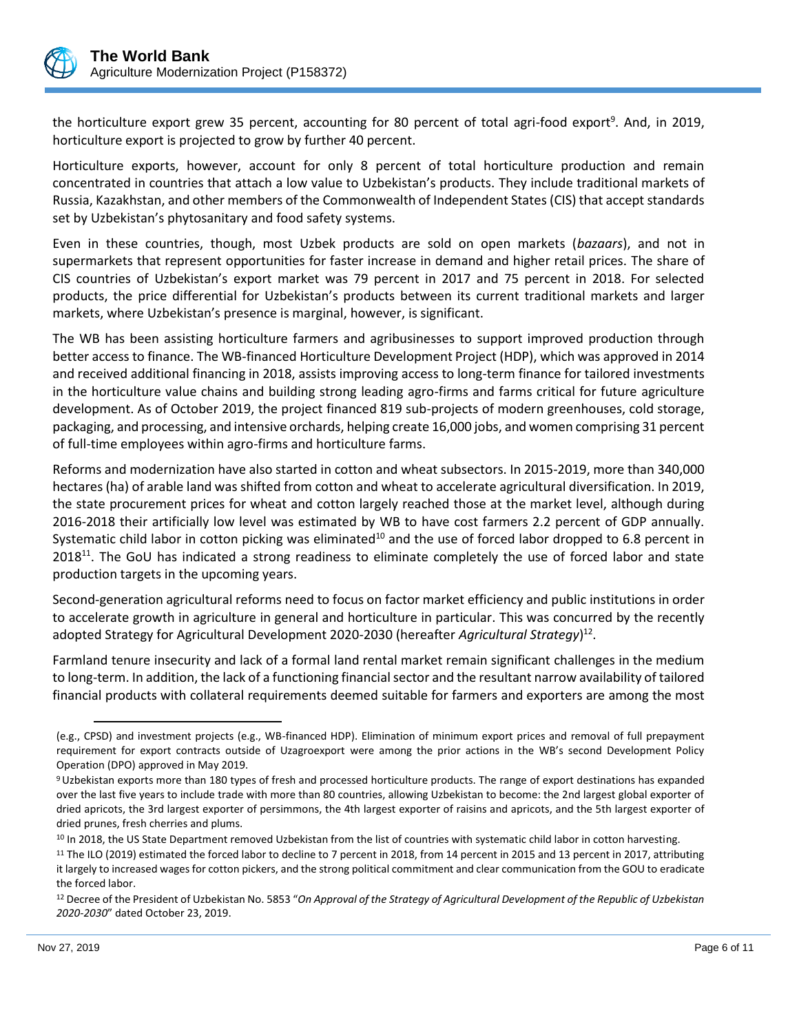

the horticulture export grew 35 percent, accounting for 80 percent of total agri-food export<sup>9</sup>. And, in 2019, horticulture export is projected to grow by further 40 percent.

Horticulture exports, however, account for only 8 percent of total horticulture production and remain concentrated in countries that attach a low value to Uzbekistan's products. They include traditional markets of Russia, Kazakhstan, and other members of the Commonwealth of Independent States (CIS) that accept standards set by Uzbekistan's phytosanitary and food safety systems.

Even in these countries, though, most Uzbek products are sold on open markets (*bazaars*), and not in supermarkets that represent opportunities for faster increase in demand and higher retail prices. The share of CIS countries of Uzbekistan's export market was 79 percent in 2017 and 75 percent in 2018. For selected products, the price differential for Uzbekistan's products between its current traditional markets and larger markets, where Uzbekistan's presence is marginal, however, is significant.

The WB has been assisting horticulture farmers and agribusinesses to support improved production through better access to finance. The WB-financed Horticulture Development Project (HDP), which was approved in 2014 and received additional financing in 2018, assists improving access to long-term finance for tailored investments in the horticulture value chains and building strong leading agro-firms and farms critical for future agriculture development. As of October 2019, the project financed 819 sub-projects of modern greenhouses, cold storage, packaging, and processing, and intensive orchards, helping create 16,000 jobs, and women comprising 31 percent of full-time employees within agro-firms and horticulture farms.

Reforms and modernization have also started in cotton and wheat subsectors. In 2015-2019, more than 340,000 hectares (ha) of arable land was shifted from cotton and wheat to accelerate agricultural diversification. In 2019, the state procurement prices for wheat and cotton largely reached those at the market level, although during 2016-2018 their artificially low level was estimated by WB to have cost farmers 2.2 percent of GDP annually. Systematic child labor in cotton picking was eliminated $10$  and the use of forced labor dropped to 6.8 percent in 2018<sup>11</sup>. The GoU has indicated a strong readiness to eliminate completely the use of forced labor and state production targets in the upcoming years.

Second-generation agricultural reforms need to focus on factor market efficiency and public institutions in order to accelerate growth in agriculture in general and horticulture in particular. This was concurred by the recently adopted Strategy for Agricultural Development 2020-2030 (hereafter *Agricultural Strategy*) 12 .

Farmland tenure insecurity and lack of a formal land rental market remain significant challenges in the medium to long-term. In addition, the lack of a functioning financial sector and the resultant narrow availability of tailored financial products with collateral requirements deemed suitable for farmers and exporters are among the most

 $\overline{a}$ 

<sup>(</sup>e.g., CPSD) and investment projects (e.g., WB-financed HDP). Elimination of minimum export prices and removal of full prepayment requirement for export contracts outside of Uzagroexport were among the prior actions in the WB's second Development Policy Operation (DPO) approved in May 2019.

<sup>9</sup>Uzbekistan exports more than 180 types of fresh and processed horticulture products. The range of export destinations has expanded over the last five years to include trade with more than 80 countries, allowing Uzbekistan to become: the 2nd largest global exporter of dried apricots, the 3rd largest exporter of persimmons, the 4th largest exporter of raisins and apricots, and the 5th largest exporter of dried prunes, fresh cherries and plums.

<sup>&</sup>lt;sup>10</sup> In 2018, the US State Department removed Uzbekistan from the list of countries with systematic child labor in cotton harvesting.

<sup>&</sup>lt;sup>11</sup> The ILO (2019) estimated the forced labor to decline to 7 percent in 2018, from 14 percent in 2015 and 13 percent in 2017, attributing it largely to increased wages for cotton pickers, and the strong political commitment and clear communication from the GOU to eradicate the forced labor.

<sup>12</sup> Decree of the President of Uzbekistan No. 5853 "*On Approval of the Strategy of Agricultural Development of the Republic of Uzbekistan 2020-2030*" dated October 23, 2019.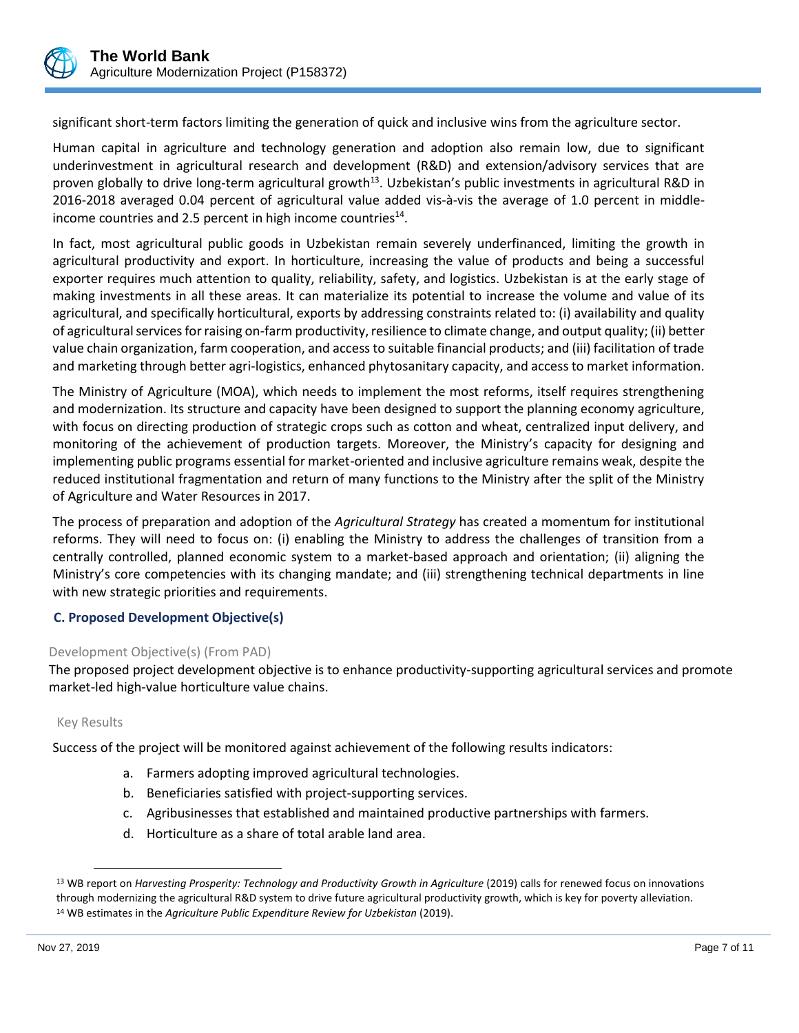

significant short-term factors limiting the generation of quick and inclusive wins from the agriculture sector.

Human capital in agriculture and technology generation and adoption also remain low, due to significant underinvestment in agricultural research and development (R&D) and extension/advisory services that are proven globally to drive long-term agricultural growth<sup>13</sup>. Uzbekistan's public investments in agricultural R&D in 2016-2018 averaged 0.04 percent of agricultural value added vis-à-vis the average of 1.0 percent in middleincome countries and 2.5 percent in high income countries $^{14}$ .

In fact, most agricultural public goods in Uzbekistan remain severely underfinanced, limiting the growth in agricultural productivity and export. In horticulture, increasing the value of products and being a successful exporter requires much attention to quality, reliability, safety, and logistics. Uzbekistan is at the early stage of making investments in all these areas. It can materialize its potential to increase the volume and value of its agricultural, and specifically horticultural, exports by addressing constraints related to: (i) availability and quality of agricultural services for raising on-farm productivity, resilience to climate change, and output quality; (ii) better value chain organization, farm cooperation, and access to suitable financial products; and (iii) facilitation of trade and marketing through better agri-logistics, enhanced phytosanitary capacity, and access to market information.

The Ministry of Agriculture (MOA), which needs to implement the most reforms, itself requires strengthening and modernization. Its structure and capacity have been designed to support the planning economy agriculture, with focus on directing production of strategic crops such as cotton and wheat, centralized input delivery, and monitoring of the achievement of production targets. Moreover, the Ministry's capacity for designing and implementing public programs essential for market-oriented and inclusive agriculture remains weak, despite the reduced institutional fragmentation and return of many functions to the Ministry after the split of the Ministry of Agriculture and Water Resources in 2017.

The process of preparation and adoption of the *Agricultural Strategy* has created a momentum for institutional reforms. They will need to focus on: (i) enabling the Ministry to address the challenges of transition from a centrally controlled, planned economic system to a market-based approach and orientation; (ii) aligning the Ministry's core competencies with its changing mandate; and (iii) strengthening technical departments in line with new strategic priorities and requirements.

## **C. Proposed Development Objective(s)**

## Development Objective(s) (From PAD)

The proposed project development objective is to enhance productivity-supporting agricultural services and promote market-led high-value horticulture value chains.

## Key Results

l

Success of the project will be monitored against achievement of the following results indicators:

- a. Farmers adopting improved agricultural technologies.
- b. Beneficiaries satisfied with project-supporting services.
- c. Agribusinesses that established and maintained productive partnerships with farmers.
- d. Horticulture as a share of total arable land area.

<sup>&</sup>lt;sup>13</sup> WB report on *Harvesting Prosperity: Technology and Productivity Growth in Agriculture* (2019) calls for renewed focus on innovations through modernizing the agricultural R&D system to drive future agricultural productivity growth, which is key for poverty alleviation. <sup>14</sup> WB estimates in the *Agriculture Public Expenditure Review for Uzbekistan* (2019).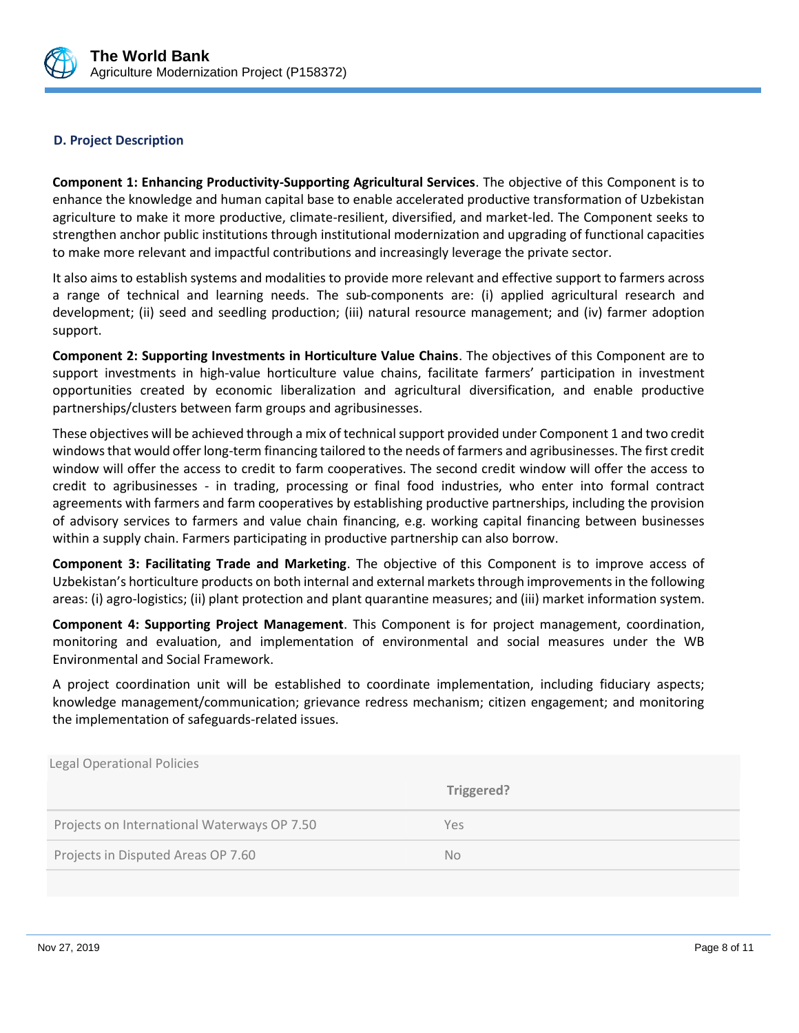

## **D. Project Description**

**Component 1: Enhancing Productivity-Supporting Agricultural Services**. The objective of this Component is to enhance the knowledge and human capital base to enable accelerated productive transformation of Uzbekistan agriculture to make it more productive, climate-resilient, diversified, and market-led. The Component seeks to strengthen anchor public institutions through institutional modernization and upgrading of functional capacities to make more relevant and impactful contributions and increasingly leverage the private sector.

It also aims to establish systems and modalities to provide more relevant and effective support to farmers across a range of technical and learning needs. The sub-components are: (i) applied agricultural research and development; (ii) seed and seedling production; (iii) natural resource management; and (iv) farmer adoption support.

**Component 2: Supporting Investments in Horticulture Value Chains**. The objectives of this Component are to support investments in high-value horticulture value chains, facilitate farmers' participation in investment opportunities created by economic liberalization and agricultural diversification, and enable productive partnerships/clusters between farm groups and agribusinesses.

These objectives will be achieved through a mix of technical support provided under Component 1 and two credit windows that would offer long-term financing tailored to the needs of farmers and agribusinesses. The first credit window will offer the access to credit to farm cooperatives. The second credit window will offer the access to credit to agribusinesses - in trading, processing or final food industries, who enter into formal contract agreements with farmers and farm cooperatives by establishing productive partnerships, including the provision of advisory services to farmers and value chain financing, e.g. working capital financing between businesses within a supply chain. Farmers participating in productive partnership can also borrow.

**Component 3: Facilitating Trade and Marketing**. The objective of this Component is to improve access of Uzbekistan's horticulture products on both internal and external markets through improvements in the following areas: (i) agro-logistics; (ii) plant protection and plant quarantine measures; and (iii) market information system.

**Component 4: Supporting Project Management**. This Component is for project management, coordination, monitoring and evaluation, and implementation of environmental and social measures under the WB Environmental and Social Framework.

A project coordination unit will be established to coordinate implementation, including fiduciary aspects; knowledge management/communication; grievance redress mechanism; citizen engagement; and monitoring the implementation of safeguards-related issues..

| <b>Legal Operational Policies</b>           |            |
|---------------------------------------------|------------|
|                                             | Triggered? |
| Projects on International Waterways OP 7.50 | Yes        |
| Projects in Disputed Areas OP 7.60          | <b>No</b>  |
|                                             |            |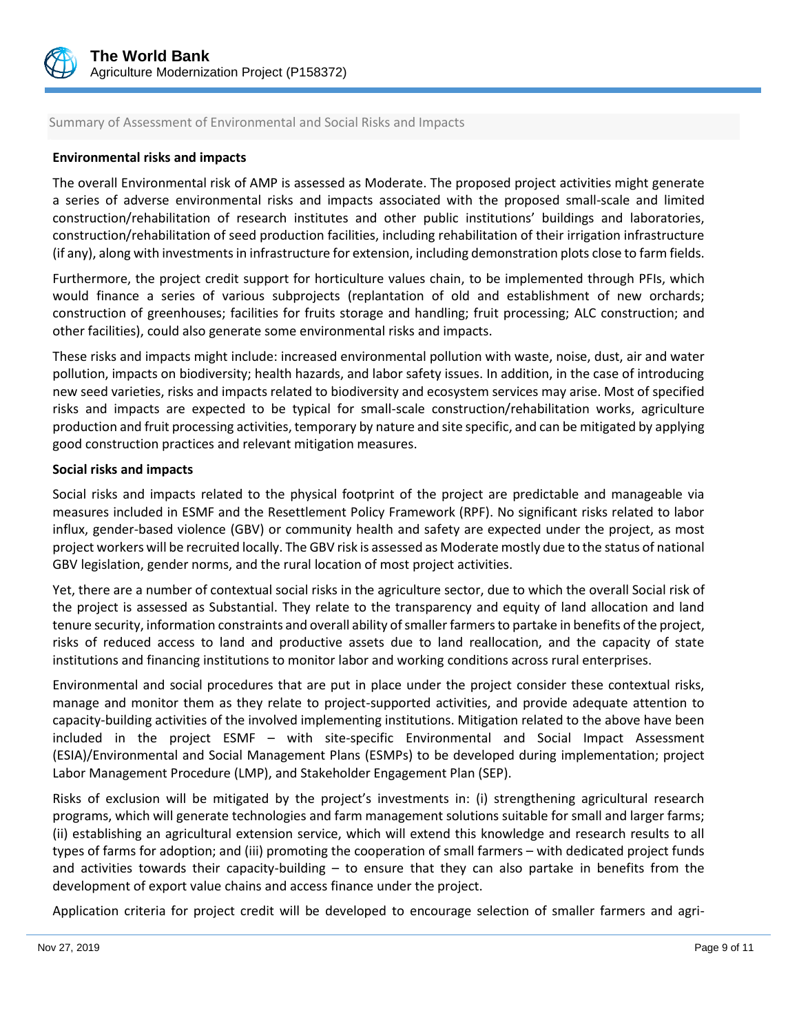

## Summary of Assessment of Environmental and Social Risks and Impacts

## **Environmental risks and impacts**

The overall Environmental risk of AMP is assessed as Moderate. The proposed project activities might generate a series of adverse environmental risks and impacts associated with the proposed small-scale and limited construction/rehabilitation of research institutes and other public institutions' buildings and laboratories, construction/rehabilitation of seed production facilities, including rehabilitation of their irrigation infrastructure (if any), along with investments in infrastructure for extension, including demonstration plots close to farm fields.

Furthermore, the project credit support for horticulture values chain, to be implemented through PFIs, which would finance a series of various subprojects (replantation of old and establishment of new orchards; construction of greenhouses; facilities for fruits storage and handling; fruit processing; ALC construction; and other facilities), could also generate some environmental risks and impacts.

These risks and impacts might include: increased environmental pollution with waste, noise, dust, air and water pollution, impacts on biodiversity; health hazards, and labor safety issues. In addition, in the case of introducing new seed varieties, risks and impacts related to biodiversity and ecosystem services may arise. Most of specified risks and impacts are expected to be typical for small-scale construction/rehabilitation works, agriculture production and fruit processing activities, temporary by nature and site specific, and can be mitigated by applying good construction practices and relevant mitigation measures.

#### **Social risks and impacts**

Social risks and impacts related to the physical footprint of the project are predictable and manageable via measures included in ESMF and the Resettlement Policy Framework (RPF). No significant risks related to labor influx, gender-based violence (GBV) or community health and safety are expected under the project, as most project workers will be recruited locally. The GBV risk is assessed as Moderate mostly due to the status of national GBV legislation, gender norms, and the rural location of most project activities.

Yet, there are a number of contextual social risks in the agriculture sector, due to which the overall Social risk of the project is assessed as Substantial. They relate to the transparency and equity of land allocation and land tenure security, information constraints and overall ability of smaller farmers to partake in benefits of the project, risks of reduced access to land and productive assets due to land reallocation, and the capacity of state institutions and financing institutions to monitor labor and working conditions across rural enterprises.

Environmental and social procedures that are put in place under the project consider these contextual risks, manage and monitor them as they relate to project-supported activities, and provide adequate attention to capacity-building activities of the involved implementing institutions. Mitigation related to the above have been included in the project ESMF – with site-specific Environmental and Social Impact Assessment (ESIA)/Environmental and Social Management Plans (ESMPs) to be developed during implementation; project Labor Management Procedure (LMP), and Stakeholder Engagement Plan (SEP).

Risks of exclusion will be mitigated by the project's investments in: (i) strengthening agricultural research programs, which will generate technologies and farm management solutions suitable for small and larger farms; (ii) establishing an agricultural extension service, which will extend this knowledge and research results to all types of farms for adoption; and (iii) promoting the cooperation of small farmers – with dedicated project funds and activities towards their capacity-building  $-$  to ensure that they can also partake in benefits from the development of export value chains and access finance under the project.

Application criteria for project credit will be developed to encourage selection of smaller farmers and agri-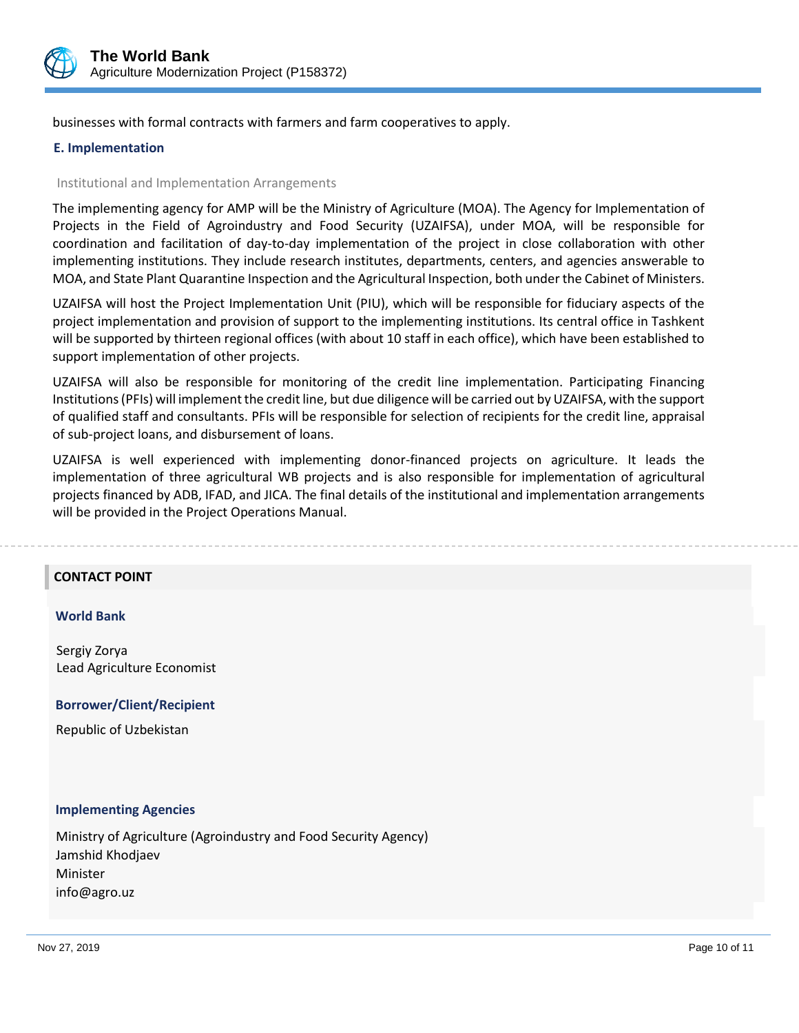

businesses with formal contracts with farmers and farm cooperatives to apply.

## **E. Implementation**

### Institutional and Implementation Arrangements

The implementing agency for AMP will be the Ministry of Agriculture (MOA). The Agency for Implementation of Projects in the Field of Agroindustry and Food Security (UZAIFSA), under MOA, will be responsible for coordination and facilitation of day-to-day implementation of the project in close collaboration with other implementing institutions. They include research institutes, departments, centers, and agencies answerable to MOA, and State Plant Quarantine Inspection and the Agricultural Inspection, both under the Cabinet of Ministers.

UZAIFSA will host the Project Implementation Unit (PIU), which will be responsible for fiduciary aspects of the project implementation and provision of support to the implementing institutions. Its central office in Tashkent will be supported by thirteen regional offices (with about 10 staff in each office), which have been established to support implementation of other projects.

UZAIFSA will also be responsible for monitoring of the credit line implementation. Participating Financing Institutions (PFIs) will implement the credit line, but due diligence will be carried out by UZAIFSA, with the support of qualified staff and consultants. PFIs will be responsible for selection of recipients for the credit line, appraisal of sub-project loans, and disbursement of loans.

UZAIFSA is well experienced with implementing donor-financed projects on agriculture. It leads the implementation of three agricultural WB projects and is also responsible for implementation of agricultural projects financed by ADB, IFAD, and JICA. The final details of the institutional and implementation arrangements will be provided in the Project Operations Manual.

#### **CONTACT POINT**

#### **World Bank**

Sergiy Zorya Lead Agriculture Economist

 **Borrower/Client/Recipient**

Republic of Uzbekistan

#### **Implementing Agencies**

Ministry of Agriculture (Agroindustry and Food Security Agency) Jamshid Khodjaev Minister info@agro.uz